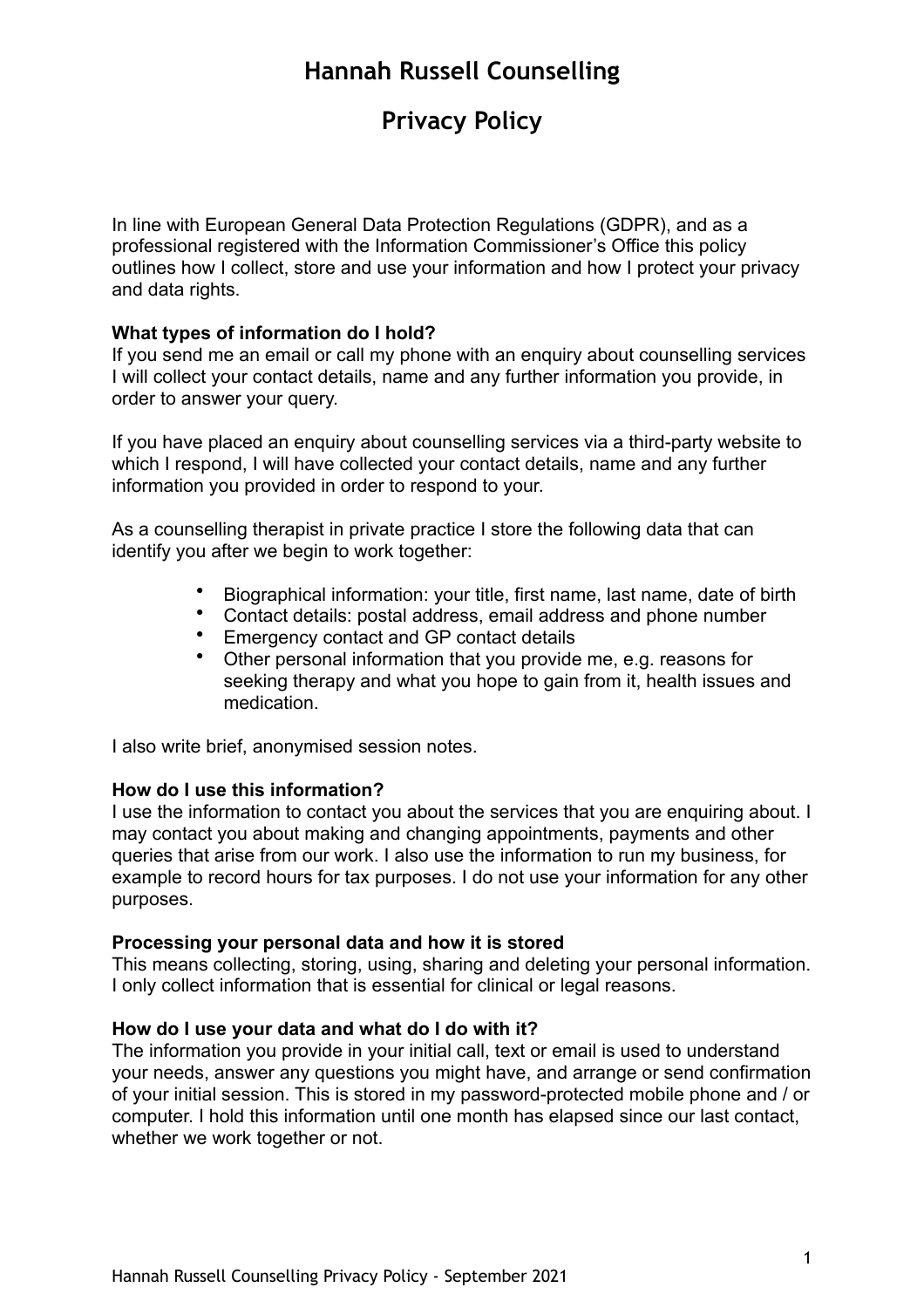# **Privacy Policy**

In line with European General Data Protection Regulations (GDPR), and as a professional registered with the Information Commissioner's Office this policy outlines how I collect, store and use your information and how I protect your privacy and data rights.

### **What types of information do I hold?**

If you send me an email or call my phone with an enquiry about counselling services I will collect your contact details, name and any further information you provide, in order to answer your query.

If you have placed an enquiry about counselling services via a third-party website to which I respond, I will have collected your contact details, name and any further information you provided in order to respond to your.

As a counselling therapist in private practice I store the following data that can identify you after we begin to work together:

- Biographical information: your title, first name, last name, date of birth
- Contact details: postal address, email address and phone number
- Emergency contact and GP contact details
- Other personal information that you provide me, e.g. reasons for seeking therapy and what you hope to gain from it, health issues and medication.

I also write brief, anonymised session notes.

#### **How do I use this information?**

I use the information to contact you about the services that you are enquiring about. I may contact you about making and changing appointments, payments and other queries that arise from our work. I also use the information to run my business, for example to record hours for tax purposes. I do not use your information for any other purposes.

#### **Processing your personal data and how it is stored**

This means collecting, storing, using, sharing and deleting your personal information. I only collect information that is essential for clinical or legal reasons.

#### **How do I use your data and what do I do with it?**

The information you provide in your initial call, text or email is used to understand your needs, answer any questions you might have, and arrange or send confirmation of your initial session. This is stored in my password-protected mobile phone and / or computer. I hold this information until one month has elapsed since our last contact, whether we work together or not.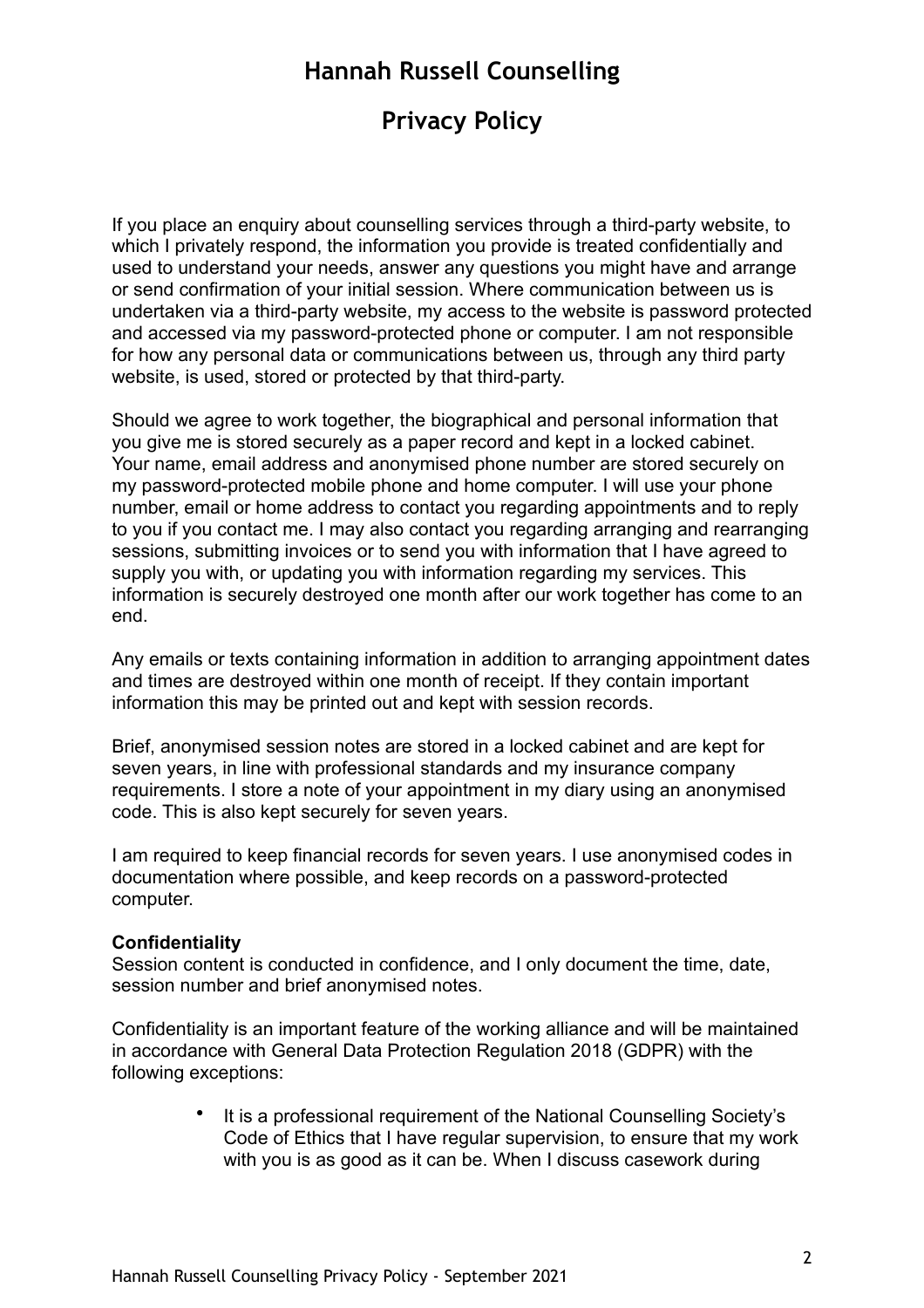# **Privacy Policy**

If you place an enquiry about counselling services through a third-party website, to which I privately respond, the information you provide is treated confidentially and used to understand your needs, answer any questions you might have and arrange or send confirmation of your initial session. Where communication between us is undertaken via a third-party website, my access to the website is password protected and accessed via my password-protected phone or computer. I am not responsible for how any personal data or communications between us, through any third party website, is used, stored or protected by that third-party.

Should we agree to work together, the biographical and personal information that you give me is stored securely as a paper record and kept in a locked cabinet. Your name, email address and anonymised phone number are stored securely on my password-protected mobile phone and home computer. I will use your phone number, email or home address to contact you regarding appointments and to reply to you if you contact me. I may also contact you regarding arranging and rearranging sessions, submitting invoices or to send you with information that I have agreed to supply you with, or updating you with information regarding my services. This information is securely destroyed one month after our work together has come to an end.

Any emails or texts containing information in addition to arranging appointment dates and times are destroyed within one month of receipt. If they contain important information this may be printed out and kept with session records.

Brief, anonymised session notes are stored in a locked cabinet and are kept for seven years, in line with professional standards and my insurance company requirements. I store a note of your appointment in my diary using an anonymised code. This is also kept securely for seven years.

I am required to keep financial records for seven years. I use anonymised codes in documentation where possible, and keep records on a password-protected computer.

#### **Confidentiality**

Session content is conducted in confidence, and I only document the time, date, session number and brief anonymised notes.

Confidentiality is an important feature of the working alliance and will be maintained in accordance with General Data Protection Regulation 2018 (GDPR) with the following exceptions:

> • It is a professional requirement of the National Counselling Society's Code of Ethics that I have regular supervision, to ensure that my work with you is as good as it can be. When I discuss casework during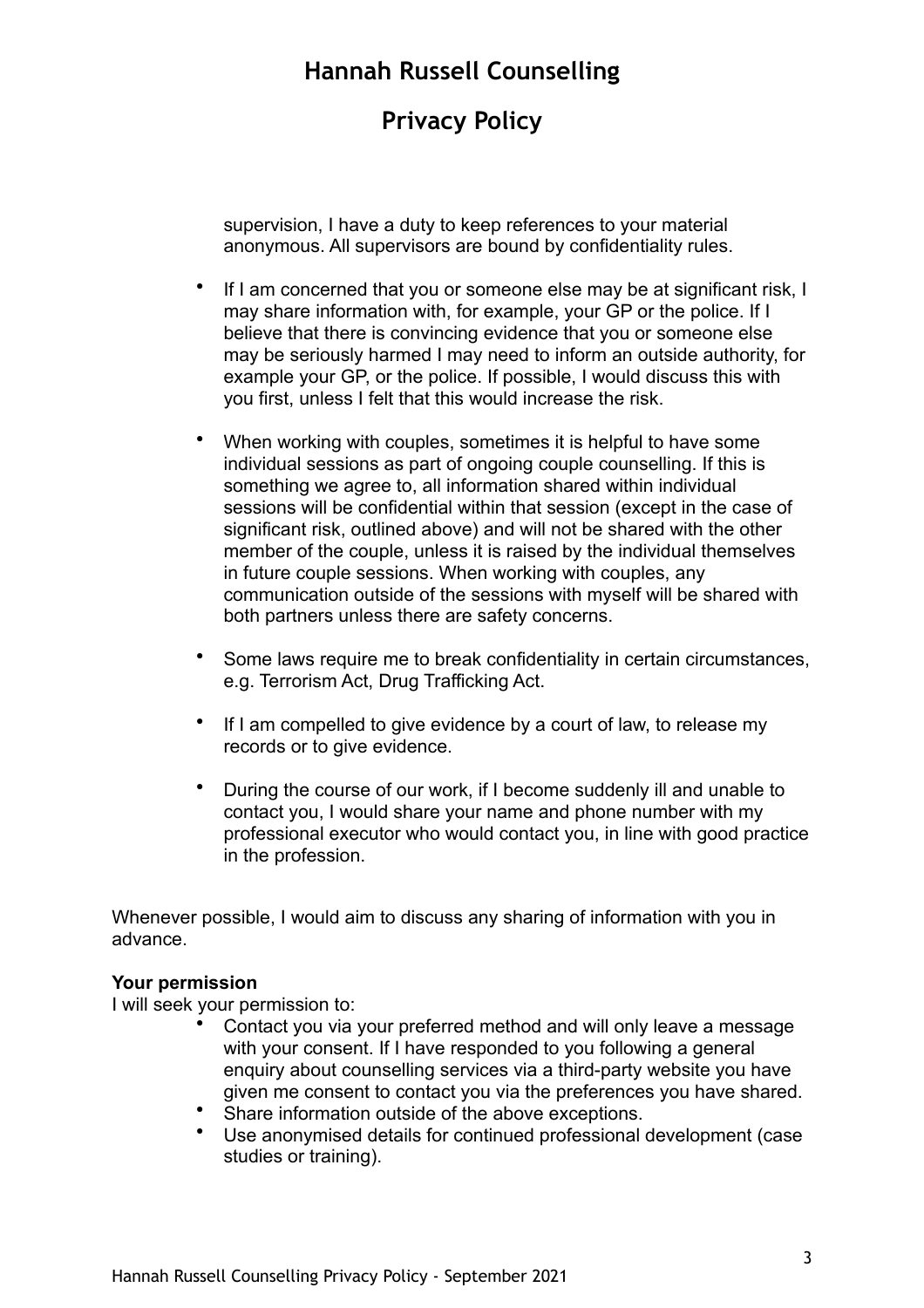# **Privacy Policy**

supervision, I have a duty to keep references to your material anonymous. All supervisors are bound by confidentiality rules.

- If I am concerned that you or someone else may be at significant risk, I may share information with, for example, your GP or the police. If I believe that there is convincing evidence that you or someone else may be seriously harmed I may need to inform an outside authority, for example your GP, or the police. If possible, I would discuss this with you first, unless I felt that this would increase the risk.
- When working with couples, sometimes it is helpful to have some individual sessions as part of ongoing couple counselling. If this is something we agree to, all information shared within individual sessions will be confidential within that session (except in the case of significant risk, outlined above) and will not be shared with the other member of the couple, unless it is raised by the individual themselves in future couple sessions. When working with couples, any communication outside of the sessions with myself will be shared with both partners unless there are safety concerns.
- Some laws require me to break confidentiality in certain circumstances, e.g. Terrorism Act, Drug Trafficking Act.
- If I am compelled to give evidence by a court of law, to release my records or to give evidence.
- During the course of our work, if I become suddenly ill and unable to contact you, I would share your name and phone number with my professional executor who would contact you, in line with good practice in the profession.

Whenever possible, I would aim to discuss any sharing of information with you in advance.

#### **Your permission**

I will seek your permission to:

- Contact you via your preferred method and will only leave a message with your consent. If I have responded to you following a general enquiry about counselling services via a third-party website you have given me consent to contact you via the preferences you have shared.
- Share information outside of the above exceptions.
- Use anonymised details for continued professional development (case studies or training).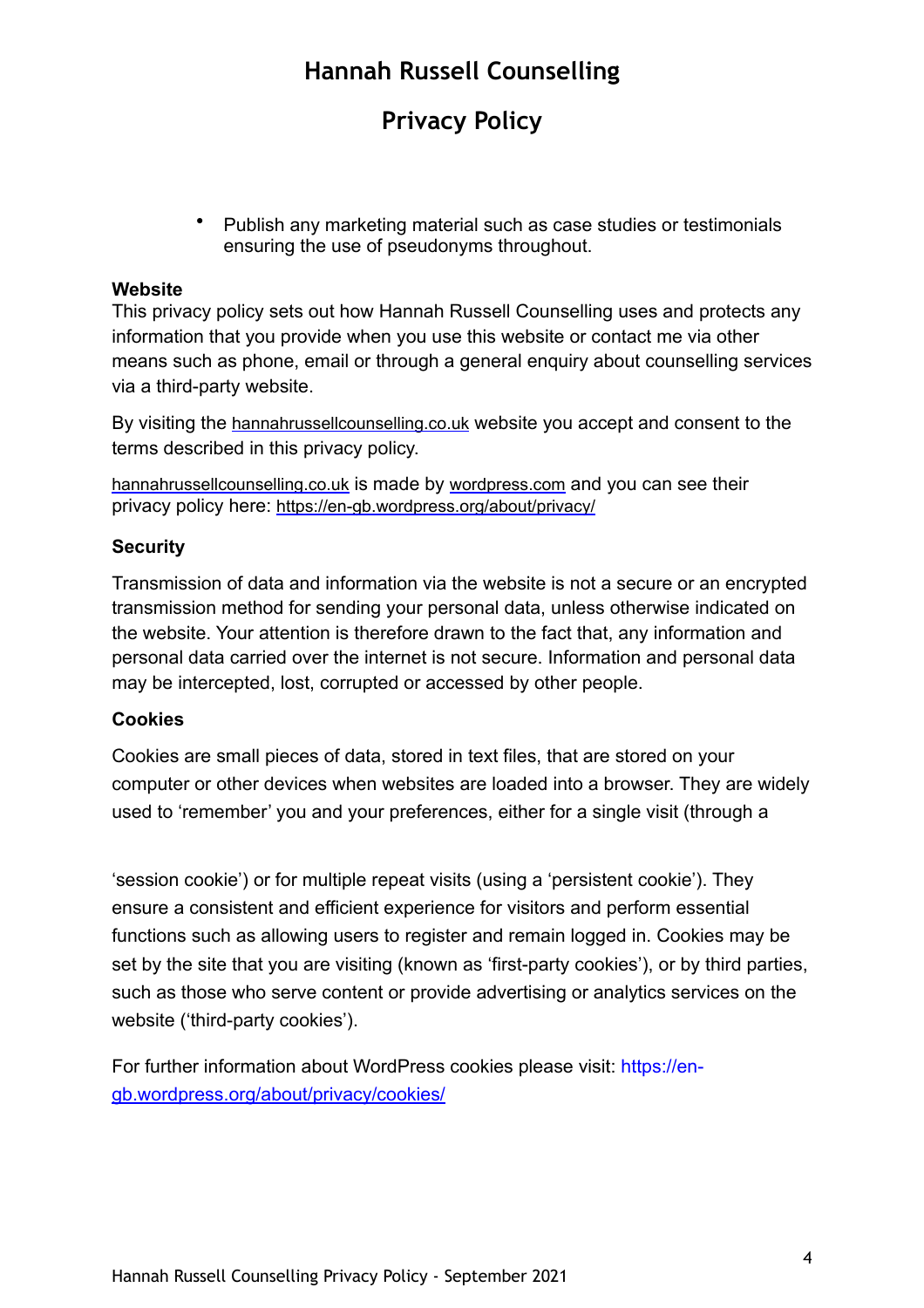# **Privacy Policy**

• Publish any marketing material such as case studies or testimonials ensuring the use of pseudonyms throughout.

### **Website**

This privacy policy sets out how Hannah Russell Counselling uses and protects any information that you provide when you use this website or contact me via other means such as phone, email or through a general enquiry about counselling services via a third-party website.

By visiting the [hannahrussellcounselling.co.uk](http://hannahrussellcounselling.co.uk) website you accept and consent to the terms described in this privacy policy.

[hannahrussellcounselling.co.uk](http://hannahrussellcounselling.co.uk) is made by [wordpress.com](http://wordpress.com) and you can see their privacy policy here:<https://en-gb.wordpress.org/about/privacy/>

### **Security**

Transmission of data and information via the website is not a secure or an encrypted transmission method for sending your personal data, unless otherwise indicated on the website. Your attention is therefore drawn to the fact that, any information and personal data carried over the internet is not secure. Information and personal data may be intercepted, lost, corrupted or accessed by other people.

### **Cookies**

Cookies are small pieces of data, stored in text files, that are stored on your computer or other devices when websites are loaded into a browser. They are widely used to 'remember' you and your preferences, either for a single visit (through a

'session cookie') or for multiple repeat visits (using a 'persistent cookie'). They ensure a consistent and efficient experience for visitors and perform essential functions such as allowing users to register and remain logged in. Cookies may be set by the site that you are visiting (known as 'first-party cookies'), or by third parties, such as those who serve content or provide advertising or analytics services on the website ('third-party cookies').

For further information about WordPress cookies please visit: https://en[gb.wordpress.org/about/privacy/cookies/](http://gb.wordpress.org/about/privacy/cookies/)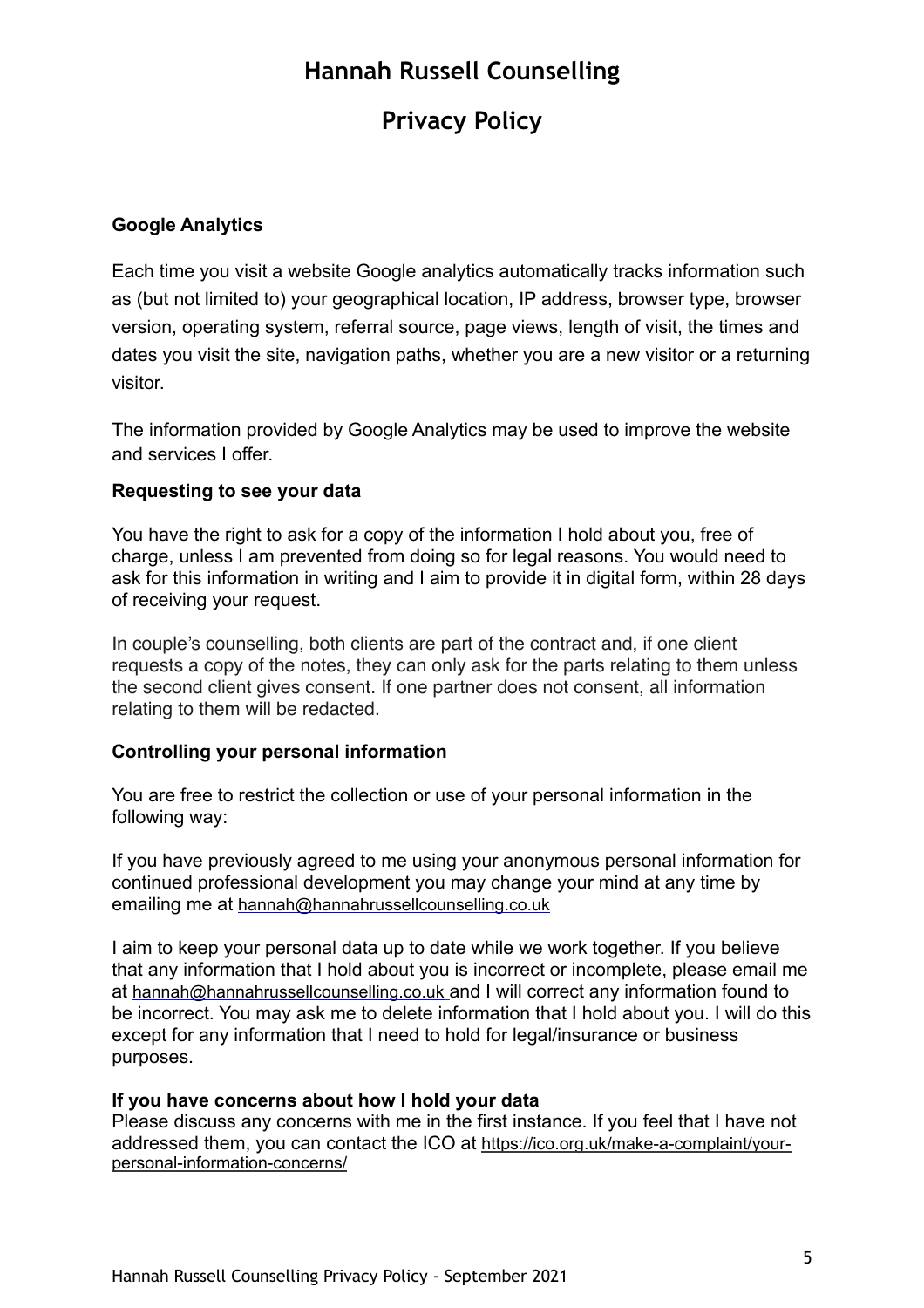# **Privacy Policy**

### **Google Analytics**

Each time you visit a website Google analytics automatically tracks information such as (but not limited to) your geographical location, IP address, browser type, browser version, operating system, referral source, page views, length of visit, the times and dates you visit the site, navigation paths, whether you are a new visitor or a returning visitor.

The information provided by Google Analytics may be used to improve the website and services I offer.

### **Requesting to see your data**

You have the right to ask for a copy of the information I hold about you, free of charge, unless I am prevented from doing so for legal reasons. You would need to ask for this information in writing and I aim to provide it in digital form, within 28 days of receiving your request.

In couple's counselling, both clients are part of the contract and, if one client requests a copy of the notes, they can only ask for the parts relating to them unless the second client gives consent. If one partner does not consent, all information relating to them will be redacted.

### **Controlling your personal information**

You are free to restrict the collection or use of your personal information in the following way:

If you have previously agreed to me using your anonymous personal information for continued professional development you may change your mind at any time by emailing me at [hannah@hannahrussellcounselling.co.uk](mailto:hannah@hannahrussellcounselling.co.uk)

I aim to keep your personal data up to date while we work together. If you believe that any information that I hold about you is incorrect or incomplete, please email me at [hannah@hannahrussellcounselling.co.uk](mailto:hannah@hannahrussellcounselling.co.uk) and I will correct any information found to be incorrect. You may ask me to delete information that I hold about you. I will do this except for any information that I need to hold for legal/insurance or business purposes.

#### **If you have concerns about how I hold your data**

Please discuss any concerns with me in the first instance. If you feel that I have not addressed them, you can contact the ICO at [https://ico.org.uk/make-a-complaint/your](https://ico.org.uk/make-a-complaint/your-personal-information-concerns/)[personal-information-concerns/](https://ico.org.uk/make-a-complaint/your-personal-information-concerns/)